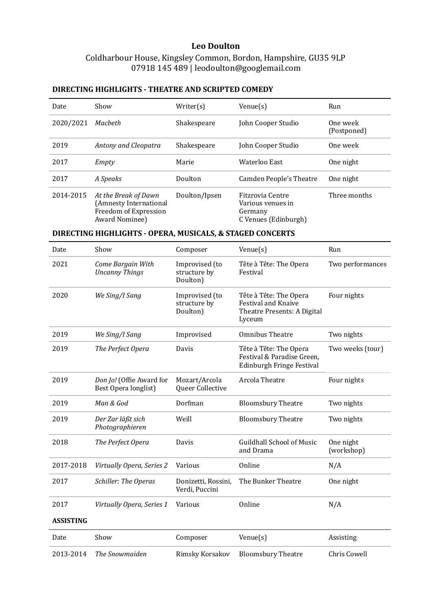### **Leo Doulton**

Coldharbour House, Kingsley Common, Bordon, Hampshire, GU35 9LP 07918 145 489 | leodoulton@googlemail.com

## **DIRECTING HIGHLIGHTS - THEATRE AND SCRIPTED COMEDY**

| Date      | Show                                                                                      | Writer(s)     | Venue(s)                                                                 | Run                     |
|-----------|-------------------------------------------------------------------------------------------|---------------|--------------------------------------------------------------------------|-------------------------|
| 2020/2021 | Macheth                                                                                   | Shakespeare   | John Cooper Studio                                                       | One week<br>(Postponed) |
| 2019      | Antony and Cleopatra                                                                      | Shakespeare   | John Cooper Studio                                                       | One week                |
| 2017      | Empty                                                                                     | Marie         | Waterloo East                                                            | One night               |
| 2017      | A Speaks                                                                                  | Doulton       | Camden People's Theatre                                                  | One night               |
| 2014-2015 | At the Break of Dawn<br>(Amnesty International<br>Freedom of Expression<br>Award Nominee) | Doulton/Ipsen | Fitzrovia Centre<br>Various venues in<br>Germany<br>C Venues (Edinburgh) | Three months            |

# **DIRECTING HIGHLIGHTS - OPERA, MUSICALS, & STAGED CONCERTS**

| Date             | Show                                             | Composer                                   | $V$ enue $(s)$                                                                                | Run                     |
|------------------|--------------------------------------------------|--------------------------------------------|-----------------------------------------------------------------------------------------------|-------------------------|
| 2021             | Come Bargain With<br><b>Uncanny Things</b>       | Improvised (to<br>structure by<br>Doulton) | Tête à Tête: The Opera<br>Festival                                                            | Two performances        |
| 2020             | We Sing/I Sang                                   | Improvised (to<br>structure by<br>Doulton) | Tête à Tête: The Opera<br><b>Festival and Knaive</b><br>Theatre Presents: A Digital<br>Lyceum | Four nights             |
| 2019             | We Sing/I Sang                                   | Improvised                                 | <b>Omnibus Theatre</b>                                                                        | Two nights              |
| 2019             | The Perfect Opera                                | Davis                                      | Tête à Tête: The Opera<br>Festival & Paradise Green,<br>Edinburgh Fringe Festival             | Two weeks (tour)        |
| 2019             | Don Jo! (Offie Award for<br>Best Opera longlist) | Mozart/Arcola<br>Queer Collective          | Arcola Theatre                                                                                | Four nights             |
| 2019             | Man & God                                        | Dorfman                                    | <b>Bloomsbury Theatre</b>                                                                     | Two nights              |
| 2019             | Der Zar läßt sich<br>Photographieren             | Weill                                      | <b>Bloomsbury Theatre</b>                                                                     | Two nights              |
| 2018             | The Perfect Opera                                | Davis                                      | <b>Guildhall School of Music</b><br>and Drama                                                 | One night<br>(workshop) |
| 2017-2018        | Virtually Opera, Series 2                        | Various                                    | Online                                                                                        | N/A                     |
| 2017             | Schiller: The Operas                             | Donizetti, Rossini,<br>Verdi, Puccini      | The Bunker Theatre                                                                            | One night               |
| 2017             | Virtually Opera, Series 1                        | Various                                    | Online                                                                                        | N/A                     |
| <b>ASSISTING</b> |                                                  |                                            |                                                                                               |                         |
| Date             | Show                                             | Composer                                   | $V$ enue $(s)$                                                                                | Assisting               |
| 2013-2014        | The Snowmaiden                                   | Rimsky Korsakov                            | <b>Bloomsbury Theatre</b>                                                                     | Chris Cowell            |